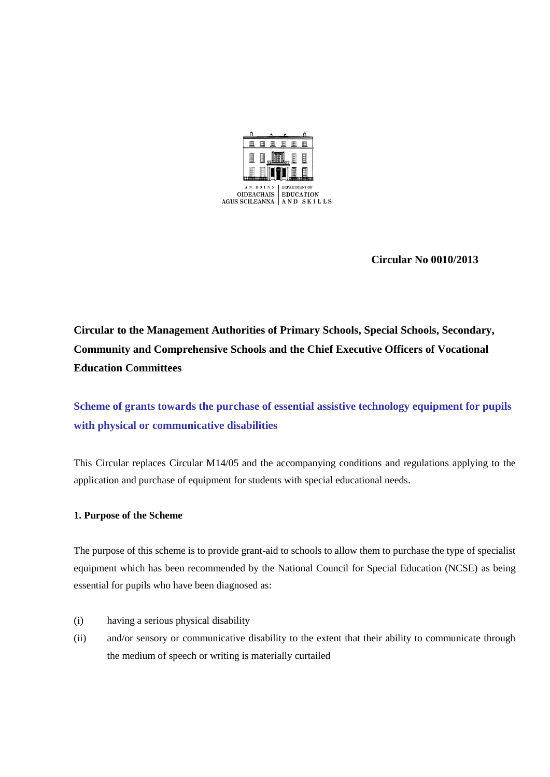

 **Circular No 0010/2013** 

**Circular to the Management Authorities of Primary Schools, Special Schools, Secondary, Community and Comprehensive Schools and the Chief Executive Officers of Vocational Education Committees**

**Scheme of grants towards the purchase of essential assistive technology equipment for pupils with physical or communicative disabilities**

This Circular replaces Circular M14/05 and the accompanying conditions and regulations applying to the application and purchase of equipment for students with special educational needs.

## **1. Purpose of the Scheme**

The purpose of this scheme is to provide grant-aid to schools to allow them to purchase the type of specialist equipment which has been recommended by the National Council for Special Education (NCSE) as being essential for pupils who have been diagnosed as:

- (i) having a serious physical disability
- (ii) and/or sensory or communicative disability to the extent that their ability to communicate through the medium of speech or writing is materially curtailed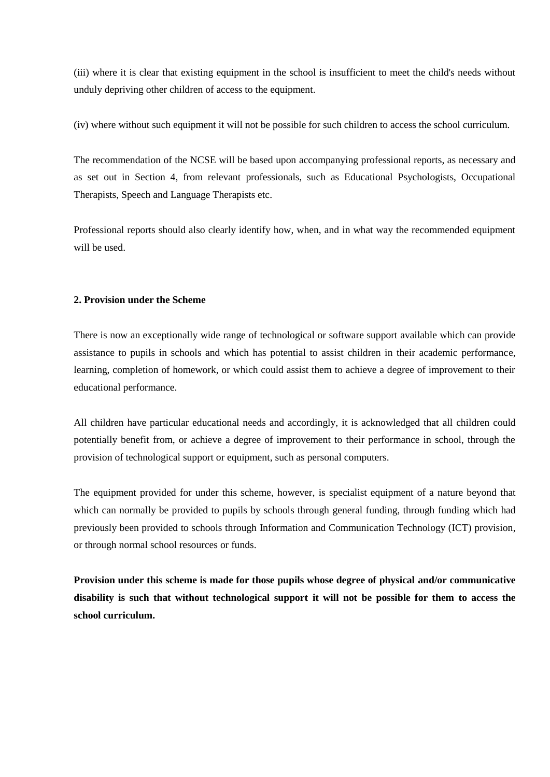(iii) where it is clear that existing equipment in the school is insufficient to meet the child's needs without unduly depriving other children of access to the equipment.

(iv) where without such equipment it will not be possible for such children to access the school curriculum.

The recommendation of the NCSE will be based upon accompanying professional reports, as necessary and as set out in Section 4, from relevant professionals, such as Educational Psychologists, Occupational Therapists, Speech and Language Therapists etc.

Professional reports should also clearly identify how, when, and in what way the recommended equipment will be used.

#### **2. Provision under the Scheme**

There is now an exceptionally wide range of technological or software support available which can provide assistance to pupils in schools and which has potential to assist children in their academic performance, learning, completion of homework, or which could assist them to achieve a degree of improvement to their educational performance.

All children have particular educational needs and accordingly, it is acknowledged that all children could potentially benefit from, or achieve a degree of improvement to their performance in school, through the provision of technological support or equipment, such as personal computers.

The equipment provided for under this scheme, however, is specialist equipment of a nature beyond that which can normally be provided to pupils by schools through general funding, through funding which had previously been provided to schools through Information and Communication Technology (ICT) provision, or through normal school resources or funds.

**Provision under this scheme is made for those pupils whose degree of physical and/or communicative disability is such that without technological support it will not be possible for them to access the school curriculum.**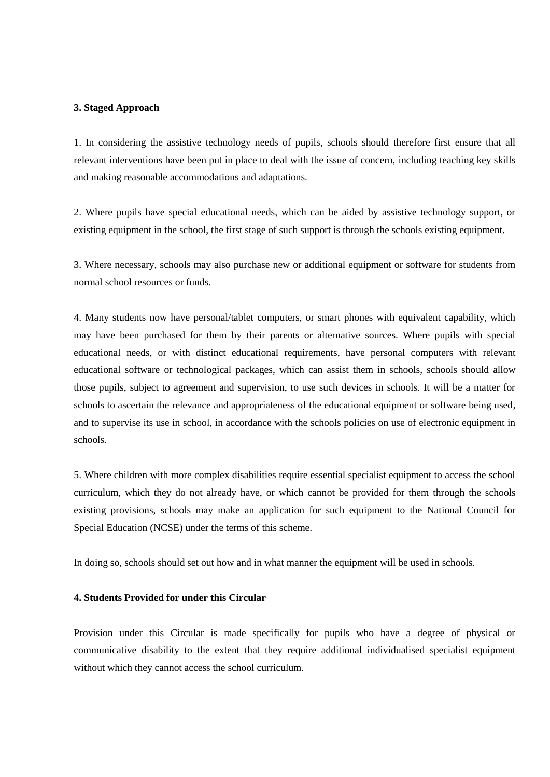#### **3. Staged Approach**

1. In considering the assistive technology needs of pupils, schools should therefore first ensure that all relevant interventions have been put in place to deal with the issue of concern, including teaching key skills and making reasonable accommodations and adaptations.

2. Where pupils have special educational needs, which can be aided by assistive technology support, or existing equipment in the school, the first stage of such support is through the schools existing equipment.

3. Where necessary, schools may also purchase new or additional equipment or software for students from normal school resources or funds.

4. Many students now have personal/tablet computers, or smart phones with equivalent capability, which may have been purchased for them by their parents or alternative sources. Where pupils with special educational needs, or with distinct educational requirements, have personal computers with relevant educational software or technological packages, which can assist them in schools, schools should allow those pupils, subject to agreement and supervision, to use such devices in schools. It will be a matter for schools to ascertain the relevance and appropriateness of the educational equipment or software being used, and to supervise its use in school, in accordance with the schools policies on use of electronic equipment in schools.

5. Where children with more complex disabilities require essential specialist equipment to access the school curriculum, which they do not already have, or which cannot be provided for them through the schools existing provisions, schools may make an application for such equipment to the National Council for Special Education (NCSE) under the terms of this scheme.

In doing so, schools should set out how and in what manner the equipment will be used in schools.

#### **4. Students Provided for under this Circular**

Provision under this Circular is made specifically for pupils who have a degree of physical or communicative disability to the extent that they require additional individualised specialist equipment without which they cannot access the school curriculum.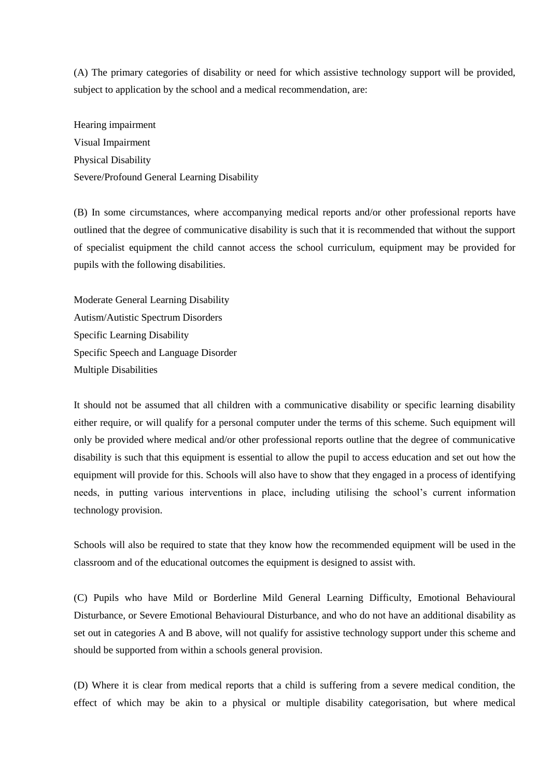(A) The primary categories of disability or need for which assistive technology support will be provided, subject to application by the school and a medical recommendation, are:

Hearing impairment Visual Impairment Physical Disability Severe/Profound General Learning Disability

(B) In some circumstances, where accompanying medical reports and/or other professional reports have outlined that the degree of communicative disability is such that it is recommended that without the support of specialist equipment the child cannot access the school curriculum, equipment may be provided for pupils with the following disabilities.

Moderate General Learning Disability Autism/Autistic Spectrum Disorders Specific Learning Disability Specific Speech and Language Disorder Multiple Disabilities

It should not be assumed that all children with a communicative disability or specific learning disability either require, or will qualify for a personal computer under the terms of this scheme. Such equipment will only be provided where medical and/or other professional reports outline that the degree of communicative disability is such that this equipment is essential to allow the pupil to access education and set out how the equipment will provide for this. Schools will also have to show that they engaged in a process of identifying needs, in putting various interventions in place, including utilising the school's current information technology provision.

Schools will also be required to state that they know how the recommended equipment will be used in the classroom and of the educational outcomes the equipment is designed to assist with.

(C) Pupils who have Mild or Borderline Mild General Learning Difficulty, Emotional Behavioural Disturbance, or Severe Emotional Behavioural Disturbance, and who do not have an additional disability as set out in categories A and B above, will not qualify for assistive technology support under this scheme and should be supported from within a schools general provision.

(D) Where it is clear from medical reports that a child is suffering from a severe medical condition, the effect of which may be akin to a physical or multiple disability categorisation, but where medical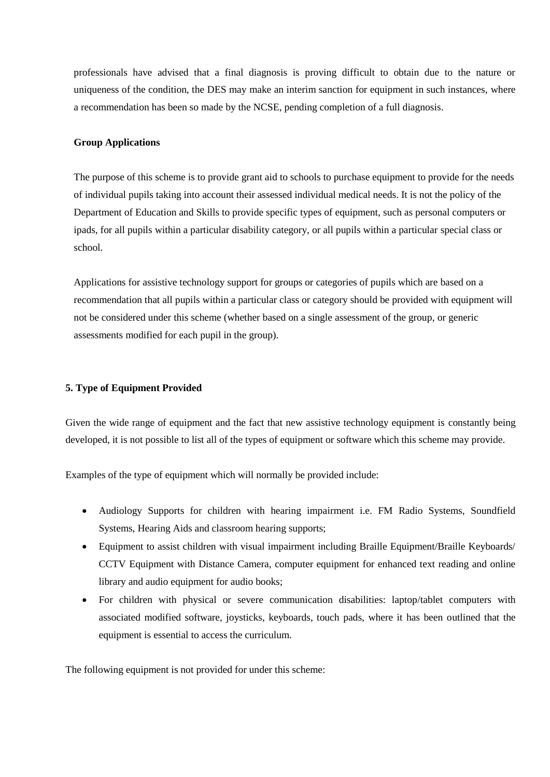professionals have advised that a final diagnosis is proving difficult to obtain due to the nature or uniqueness of the condition, the DES may make an interim sanction for equipment in such instances, where a recommendation has been so made by the NCSE, pending completion of a full diagnosis.

#### **Group Applications**

The purpose of this scheme is to provide grant aid to schools to purchase equipment to provide for the needs of individual pupils taking into account their assessed individual medical needs. It is not the policy of the Department of Education and Skills to provide specific types of equipment, such as personal computers or ipads, for all pupils within a particular disability category, or all pupils within a particular special class or school.

Applications for assistive technology support for groups or categories of pupils which are based on a recommendation that all pupils within a particular class or category should be provided with equipment will not be considered under this scheme (whether based on a single assessment of the group, or generic assessments modified for each pupil in the group).

### **5. Type of Equipment Provided**

Given the wide range of equipment and the fact that new assistive technology equipment is constantly being developed, it is not possible to list all of the types of equipment or software which this scheme may provide.

Examples of the type of equipment which will normally be provided include:

- Audiology Supports for children with hearing impairment i.e. FM Radio Systems, Soundfield Systems, Hearing Aids and classroom hearing supports;
- Equipment to assist children with visual impairment including Braille Equipment/Braille Keyboards/ CCTV Equipment with Distance Camera, computer equipment for enhanced text reading and online library and audio equipment for audio books;
- For children with physical or severe communication disabilities: laptop/tablet computers with associated modified software, joysticks, keyboards, touch pads, where it has been outlined that the equipment is essential to access the curriculum.

The following equipment is not provided for under this scheme: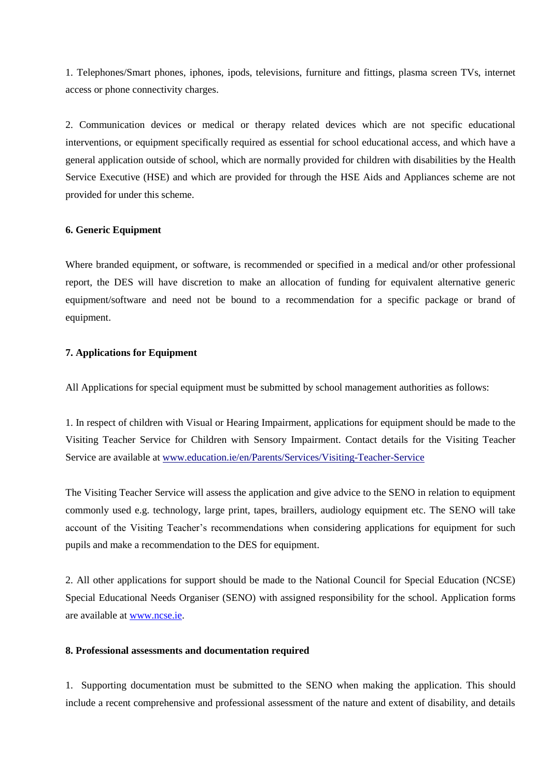1. Telephones/Smart phones, iphones, ipods, televisions, furniture and fittings, plasma screen TVs, internet access or phone connectivity charges.

2. Communication devices or medical or therapy related devices which are not specific educational interventions, or equipment specifically required as essential for school educational access, and which have a general application outside of school, which are normally provided for children with disabilities by the Health Service Executive (HSE) and which are provided for through the HSE Aids and Appliances scheme are not provided for under this scheme.

#### **6. Generic Equipment**

Where branded equipment, or software, is recommended or specified in a medical and/or other professional report, the DES will have discretion to make an allocation of funding for equivalent alternative generic equipment/software and need not be bound to a recommendation for a specific package or brand of equipment.

## **7. Applications for Equipment**

All Applications for special equipment must be submitted by school management authorities as follows:

1. In respect of children with Visual or Hearing Impairment, applications for equipment should be made to the Visiting Teacher Service for Children with Sensory Impairment. Contact details for the Visiting Teacher Service are available at www.education.ie/en/Parents/Services/Visiting-Teacher-Service

The Visiting Teacher Service will assess the application and give advice to the SENO in relation to equipment commonly used e.g. technology, large print, tapes, braillers, audiology equipment etc. The SENO will take account of the Visiting Teacher's recommendations when considering applications for equipment for such pupils and make a recommendation to the DES for equipment.

2. All other applications for support should be made to the National Council for Special Education (NCSE) Special Educational Needs Organiser (SENO) with assigned responsibility for the school. Application forms are available at [www.ncse.ie.](http://www.ncse.ie/)

#### **8. Professional assessments and documentation required**

1. Supporting documentation must be submitted to the SENO when making the application. This should include a recent comprehensive and professional assessment of the nature and extent of disability, and details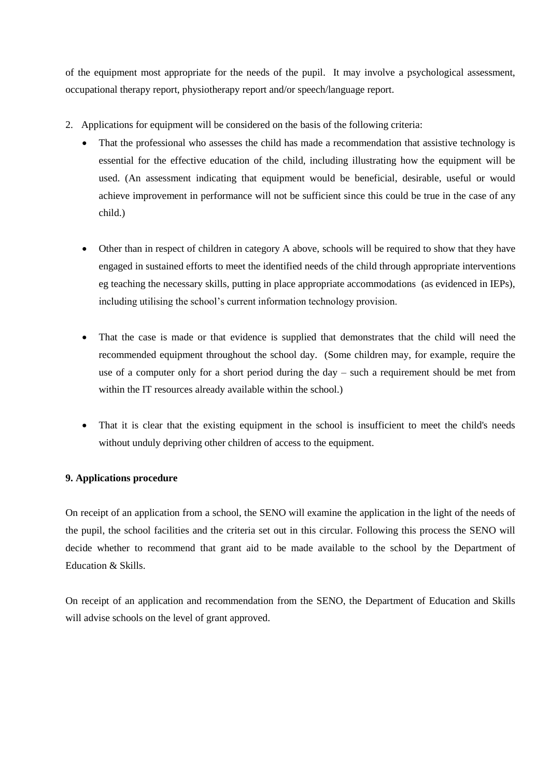of the equipment most appropriate for the needs of the pupil. It may involve a psychological assessment, occupational therapy report, physiotherapy report and/or speech/language report.

- 2. Applications for equipment will be considered on the basis of the following criteria:
	- That the professional who assesses the child has made a recommendation that assistive technology is essential for the effective education of the child, including illustrating how the equipment will be used. (An assessment indicating that equipment would be beneficial, desirable, useful or would achieve improvement in performance will not be sufficient since this could be true in the case of any child.)
	- Other than in respect of children in category A above, schools will be required to show that they have engaged in sustained efforts to meet the identified needs of the child through appropriate interventions eg teaching the necessary skills, putting in place appropriate accommodations (as evidenced in IEPs), including utilising the school's current information technology provision.
	- That the case is made or that evidence is supplied that demonstrates that the child will need the recommended equipment throughout the school day. (Some children may, for example, require the use of a computer only for a short period during the day – such a requirement should be met from within the IT resources already available within the school.)
	- That it is clear that the existing equipment in the school is insufficient to meet the child's needs without unduly depriving other children of access to the equipment.

## **9. Applications procedure**

On receipt of an application from a school, the SENO will examine the application in the light of the needs of the pupil, the school facilities and the criteria set out in this circular. Following this process the SENO will decide whether to recommend that grant aid to be made available to the school by the Department of Education & Skills.

On receipt of an application and recommendation from the SENO, the Department of Education and Skills will advise schools on the level of grant approved.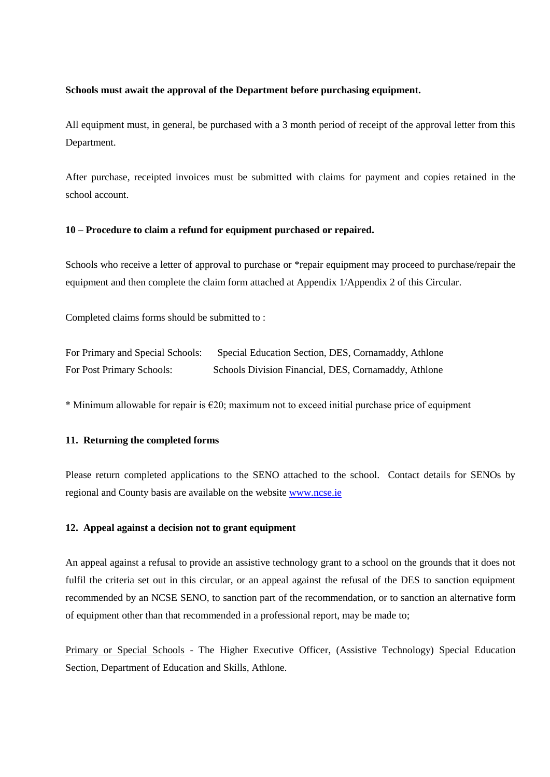#### **Schools must await the approval of the Department before purchasing equipment.**

All equipment must, in general, be purchased with a 3 month period of receipt of the approval letter from this Department.

After purchase, receipted invoices must be submitted with claims for payment and copies retained in the school account.

#### **10 – Procedure to claim a refund for equipment purchased or repaired.**

Schools who receive a letter of approval to purchase or \*repair equipment may proceed to purchase/repair the equipment and then complete the claim form attached at Appendix 1/Appendix 2 of this Circular.

Completed claims forms should be submitted to :

For Primary and Special Schools: Special Education Section, DES, Cornamaddy, Athlone For Post Primary Schools: Schools Division Financial, DES, Cornamaddy, Athlone

\* Minimum allowable for repair is  $\epsilon$ 20; maximum not to exceed initial purchase price of equipment

#### **11. Returning the completed forms**

Please return completed applications to the SENO attached to the school. Contact details for SENOs by regional and County basis are available on the website [www.ncse.ie](http://www.ncse.ie/) 

#### **12. Appeal against a decision not to grant equipment**

An appeal against a refusal to provide an assistive technology grant to a school on the grounds that it does not fulfil the criteria set out in this circular, or an appeal against the refusal of the DES to sanction equipment recommended by an NCSE SENO, to sanction part of the recommendation, or to sanction an alternative form of equipment other than that recommended in a professional report, may be made to;

Primary or Special Schools - The Higher Executive Officer, (Assistive Technology) Special Education Section, Department of Education and Skills, Athlone.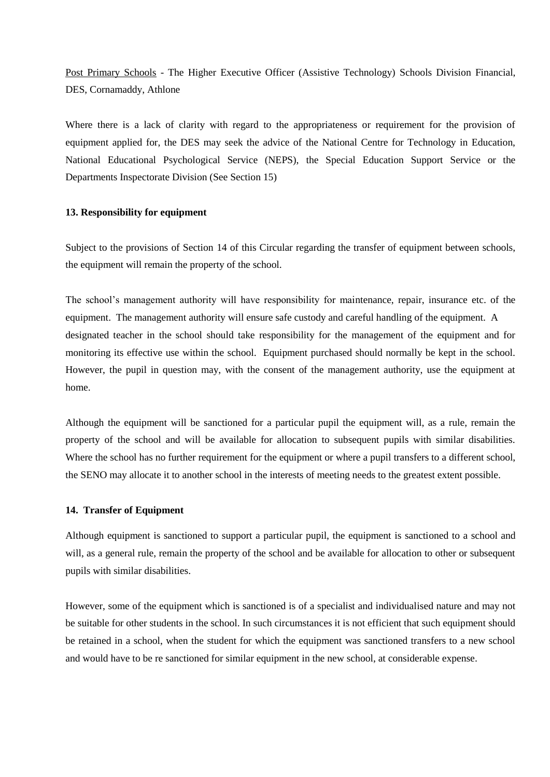Post Primary Schools - The Higher Executive Officer (Assistive Technology) Schools Division Financial, DES, Cornamaddy, Athlone

Where there is a lack of clarity with regard to the appropriateness or requirement for the provision of equipment applied for, the DES may seek the advice of the National Centre for Technology in Education, National Educational Psychological Service (NEPS), the Special Education Support Service or the Departments Inspectorate Division (See Section 15)

#### **13. Responsibility for equipment**

Subject to the provisions of Section 14 of this Circular regarding the transfer of equipment between schools, the equipment will remain the property of the school.

The school's management authority will have responsibility for maintenance, repair, insurance etc. of the equipment. The management authority will ensure safe custody and careful handling of the equipment. A designated teacher in the school should take responsibility for the management of the equipment and for monitoring its effective use within the school. Equipment purchased should normally be kept in the school. However, the pupil in question may, with the consent of the management authority, use the equipment at home.

Although the equipment will be sanctioned for a particular pupil the equipment will, as a rule, remain the property of the school and will be available for allocation to subsequent pupils with similar disabilities. Where the school has no further requirement for the equipment or where a pupil transfers to a different school, the SENO may allocate it to another school in the interests of meeting needs to the greatest extent possible.

#### **14. Transfer of Equipment**

Although equipment is sanctioned to support a particular pupil, the equipment is sanctioned to a school and will, as a general rule, remain the property of the school and be available for allocation to other or subsequent pupils with similar disabilities.

However, some of the equipment which is sanctioned is of a specialist and individualised nature and may not be suitable for other students in the school. In such circumstances it is not efficient that such equipment should be retained in a school, when the student for which the equipment was sanctioned transfers to a new school and would have to be re sanctioned for similar equipment in the new school, at considerable expense.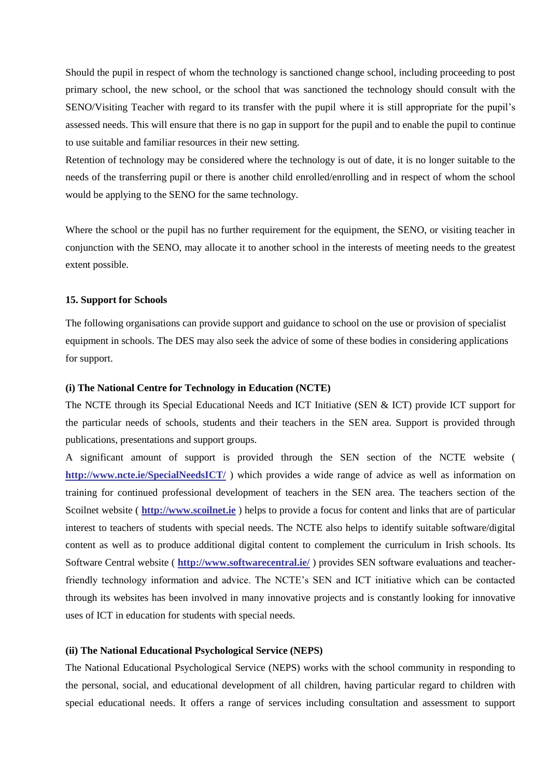Should the pupil in respect of whom the technology is sanctioned change school, including proceeding to post primary school, the new school, or the school that was sanctioned the technology should consult with the SENO/Visiting Teacher with regard to its transfer with the pupil where it is still appropriate for the pupil's assessed needs. This will ensure that there is no gap in support for the pupil and to enable the pupil to continue to use suitable and familiar resources in their new setting.

Retention of technology may be considered where the technology is out of date, it is no longer suitable to the needs of the transferring pupil or there is another child enrolled/enrolling and in respect of whom the school would be applying to the SENO for the same technology.

Where the school or the pupil has no further requirement for the equipment, the SENO, or visiting teacher in conjunction with the SENO, may allocate it to another school in the interests of meeting needs to the greatest extent possible.

#### **15. Support for Schools**

The following organisations can provide support and guidance to school on the use or provision of specialist equipment in schools. The DES may also seek the advice of some of these bodies in considering applications for support.

#### **(i) The National Centre for Technology in Education (NCTE)**

The NCTE through its Special Educational Needs and ICT Initiative (SEN & ICT) provide ICT support for the particular needs of schools, students and their teachers in the SEN area. Support is provided through publications, presentations and support groups.

A significant amount of support is provided through the SEN section of the NCTE website ( **<http://www.ncte.ie/SpecialNeedsICT/>** ) which provides a wide range of advice as well as information on training for continued professional development of teachers in the SEN area. The teachers section of the Scoilnet website ( **[http://www.scoilnet.ie](http://www.scoilnet.ie/)** ) helps to provide a focus for content and links that are of particular interest to teachers of students with special needs. The NCTE also helps to identify suitable software/digital content as well as to produce additional digital content to complement the curriculum in Irish schools. Its Software Central website ( **<http://www.softwarecentral.ie/>** ) provides SEN software evaluations and teacherfriendly technology information and advice. The NCTE's SEN and ICT initiative which can be contacted through its websites has been involved in many innovative projects and is constantly looking for innovative uses of ICT in education for students with special needs.

#### **(ii) The National Educational Psychological Service (NEPS)**

The National Educational Psychological Service (NEPS) works with the school community in responding to the personal, social, and educational development of all children, having particular regard to children with special educational needs. It offers a range of services including consultation and assessment to support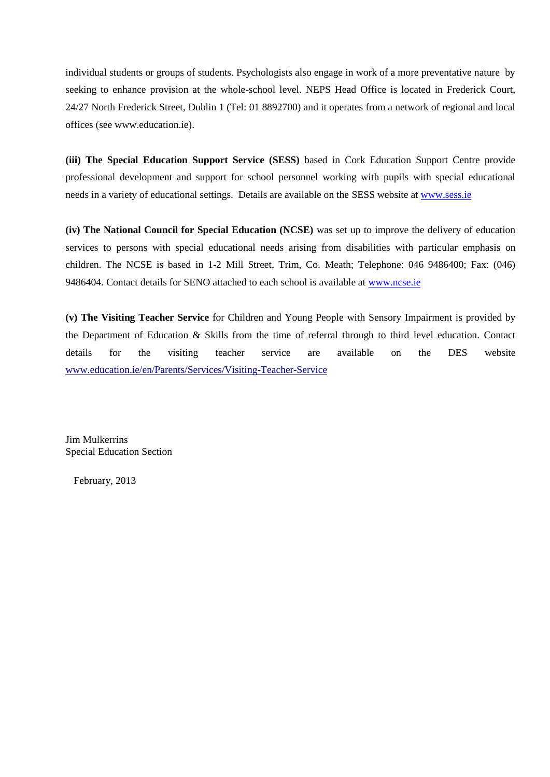individual students or groups of students. Psychologists also engage in work of a more preventative nature by seeking to enhance provision at the whole-school level. NEPS Head Office is located in Frederick Court, 24/27 North Frederick Street, Dublin 1 (Tel: 01 8892700) and it operates from a network of regional and local offices (see www.education.ie).

**(iii) The Special Education Support Service (SESS)** based in Cork Education Support Centre provide professional development and support for school personnel working with pupils with special educational needs in a variety of educational settings. Details are available on the SESS website at [www.sess.ie](http://www.sess.ie/)

**(iv) The National Council for Special Education (NCSE)** was set up to improve the delivery of education services to persons with special educational needs arising from disabilities with particular emphasis on children. The NCSE is based in 1-2 Mill Street, Trim, Co. Meath; Telephone: 046 9486400; Fax: (046) 9486404. Contact details for SENO attached to each school is available at [www.ncse.ie](http://www.ncse.ie/)

**(v) The Visiting Teacher Service** for Children and Young People with Sensory Impairment is provided by the Department of Education & Skills from the time of referral through to third level education. Contact details for the visiting teacher service are available on the DES website www.education.ie/en/Parents/Services/Visiting-Teacher-Service

Jim Mulkerrins Special Education Section

February, 2013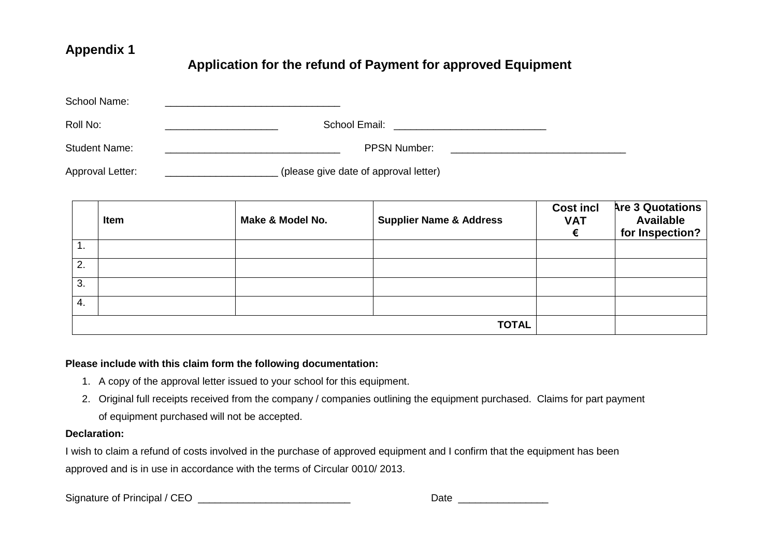# **Appendix 1**

# **Application for the refund of Payment for approved Equipment**

| School Name:         |                                       |  |
|----------------------|---------------------------------------|--|
| Roll No:             | School Email:                         |  |
| <b>Student Name:</b> | <b>PPSN Number:</b>                   |  |
| Approval Letter:     | (please give date of approval letter) |  |

|    | Item | Make & Model No. | <b>Supplier Name &amp; Address</b> | <b>Cost incl</b><br><b>VAT</b> | <b>Are 3 Quotations</b><br><b>Available</b><br>for Inspection? |
|----|------|------------------|------------------------------------|--------------------------------|----------------------------------------------------------------|
| ι. |      |                  |                                    |                                |                                                                |
| 2. |      |                  |                                    |                                |                                                                |
| 3. |      |                  |                                    |                                |                                                                |
| 4. |      |                  |                                    |                                |                                                                |
|    |      |                  | <b>TOTAL</b>                       |                                |                                                                |

# **Please include with this claim form the following documentation:**

- 1. A copy of the approval letter issued to your school for this equipment.
- 2. Original full receipts received from the company / companies outlining the equipment purchased. Claims for part payment of equipment purchased will not be accepted.

### **Declaration:**

I wish to claim a refund of costs involved in the purchase of approved equipment and I confirm that the equipment has been approved and is in use in accordance with the terms of Circular 0010/ 2013.

Signature of Principal / CEO \_\_\_\_\_\_\_\_\_\_\_\_\_\_\_\_\_\_\_\_\_\_\_\_\_\_\_ Date \_\_\_\_\_\_\_\_\_\_\_\_\_\_\_\_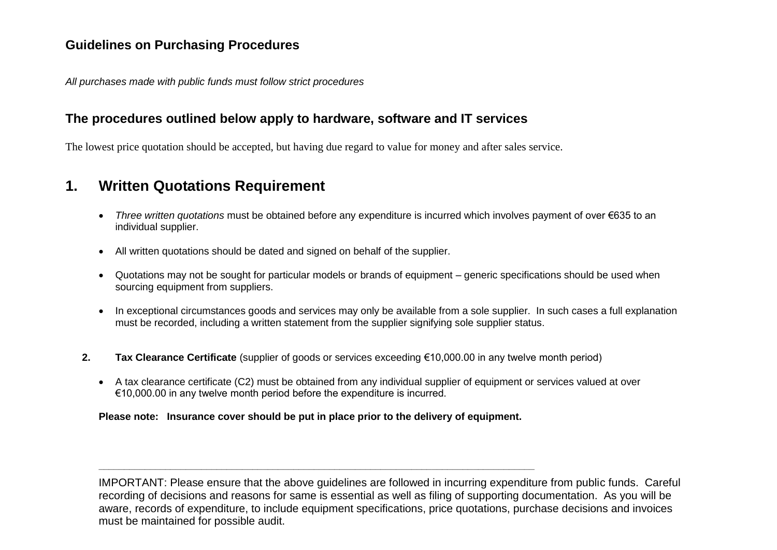# **Guidelines on Purchasing Procedures**

*All purchases made with public funds must follow strict procedures*

# **The procedures outlined below apply to hardware, software and IT services**

The lowest price quotation should be accepted, but having due regard to value for money and after sales service.

# **1. Written Quotations Requirement**

- *Three written quotations* must be obtained before any expenditure is incurred which involves payment of over €635 to an individual supplier.
- All written quotations should be dated and signed on behalf of the supplier.
- Quotations may not be sought for particular models or brands of equipment generic specifications should be used when sourcing equipment from suppliers.
- In exceptional circumstances goods and services may only be available from a sole supplier. In such cases a full explanation must be recorded, including a written statement from the supplier signifying sole supplier status.
- **2. Tax Clearance Certificate** (supplier of goods or services exceeding €10,000.00 in any twelve month period)
	- A tax clearance certificate (C2) must be obtained from any individual supplier of equipment or services valued at over €10,000.00 in any twelve month period before the expenditure is incurred.

**Please note: Insurance cover should be put in place prior to the delivery of equipment.**

**\_\_\_\_\_\_\_\_\_\_\_\_\_\_\_\_\_\_\_\_\_\_\_\_\_\_\_\_\_\_\_\_\_\_\_\_\_\_\_\_\_\_\_\_\_\_\_\_\_\_\_\_\_\_\_\_\_\_\_\_\_\_\_\_\_\_\_\_\_\_\_\_\_\_\_\_\_\_\_\_\_\_\_\_\_** 

IMPORTANT: Please ensure that the above guidelines are followed in incurring expenditure from public funds. Careful recording of decisions and reasons for same is essential as well as filing of supporting documentation. As you will be aware, records of expenditure, to include equipment specifications, price quotations, purchase decisions and invoices must be maintained for possible audit.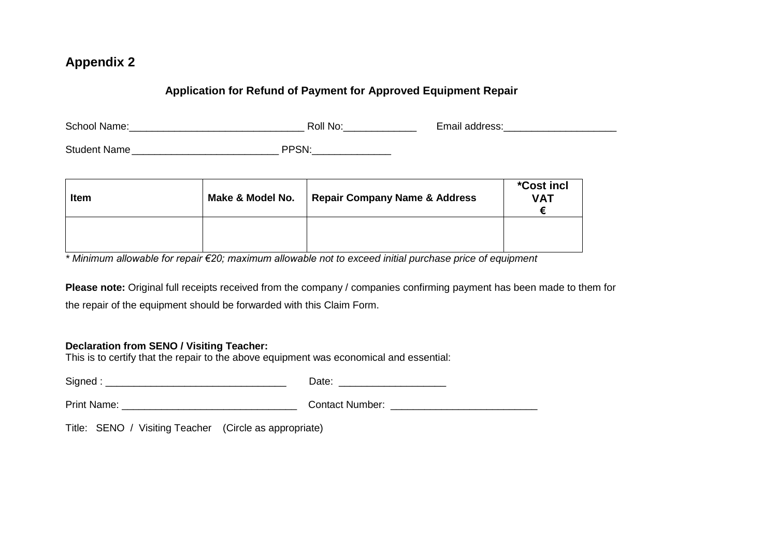# **Appendix 2**

# **Application for Refund of Payment for Approved Equipment Repair**

| School Name:        | Roll No:      | Email address: |
|---------------------|---------------|----------------|
| <b>Student Name</b> | וחסםכ<br>.۱۱. |                |

| <b>Item</b> | Make & Model No. | <b>Repair Company Name &amp; Address</b> | <i>*Cost incl</i><br><b>VAT</b> |
|-------------|------------------|------------------------------------------|---------------------------------|
|             |                  |                                          |                                 |

*\* Minimum allowable for repair €20; maximum allowable not to exceed initial purchase price of equipment* 

**Please note:** Original full receipts received from the company / companies confirming payment has been made to them for the repair of the equipment should be forwarded with this Claim Form.

# **Declaration from SENO / Visiting Teacher:**

This is to certify that the repair to the above equipment was economical and essential:

| SIN"<br>- -<br>---<br>----- |
|-----------------------------|
|-----------------------------|

Print Name: \_\_\_\_\_\_\_\_\_\_\_\_\_\_\_\_\_\_\_\_\_\_\_\_\_\_\_\_\_\_\_ Contact Number: \_\_\_\_\_\_\_\_\_\_\_\_\_\_\_\_\_\_\_\_\_\_\_\_\_\_

Title: SENO / Visiting Teacher (Circle as appropriate)